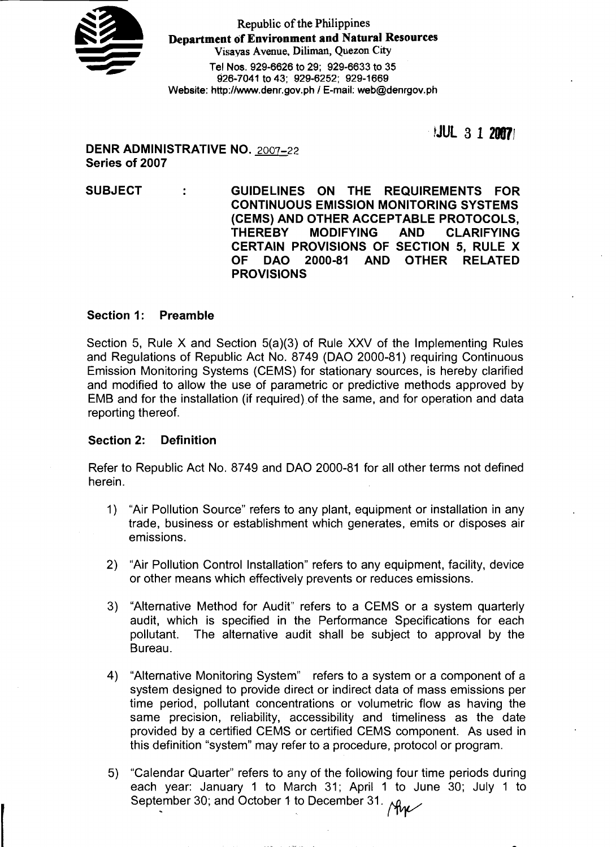

Republic of the Philippines **Department of Environment and Natural Resources** Visayas Avenue, Diliman, Quezon City **Tel Nos. 929-6626 to 29; 929-6633 to 35 926-7041 to 43; 929-6252; 929-1669** w wzo-7041 to 45; wzw-6252; wzw-1669<br>Website: http://www.denr.gov.ph / E-mail: web@denrgov.ph

 $|JUL|$  3 1 2007

**DENR ADMINISTRATIVE NO.** 2007-22 **Series of 2007** 

**SUBJECT GUIDELINES ON THE REQUIREMENTS FOR CONTINUOUS EMISSION MONITORING SYSTEMS (CEMS) AND OTHER ACCEPTABLE PROTOCOLS, 'THEREBY MODIFYING AND CLARIFYING CERTAIN PROVISIONS OF SECTION 5, RULE X OF DAO 2000-81 AND OTHER RELATED PROVISIONS** 

## **Section 1: Preamble**

Section 5, Rule X and Section 5(a)(3) of Rule XXV of the Implementing Rules and Regulations of Republic Act No. 8749 (DAO 2000-81) requiring Continuous Emission Monitoring Systems (CEMS) for stationary sources, is hereby clarified and modified to allow the use of parametric or predictive methods approved by EMB and for the installation (if required) of the same, and for operation and data reporting thereof.

### **Section 2: Definition**

Refer to Republic Act No. 8749 and DAO 2000-81 for all other terms not defined herein.

- 1) "Air Pollution Source" refers to any plant, equipment or installation in any trade, business or establishment which generates, emits or disposes air emissions.
- 2) "Air Pollution Control Installation" refers to any equipment, facility, device or other means which effectively prevents or reduces emissions.
- 3) "Alternative Method for Audit" refers to a CEMS or a system quarterly audit, which is specified in the Performance Specifications for each pollutant. The alternative audit shall be subject to approval by the Bureau.
- 4) "Alternative Monitoring System" refers to a system or a component of a system designed to provide direct or indirect data of mass emissions per time period, pollutant concentrations or volumetric flow as having the same precision, reliability, accessibility and timeliness as the date provided by a certified CEMS or certified CEMS component. As used in this definition "system" may refer to a procedure, protocol or program.
- 5) "Calendar Quarter" refers to any of the following four time periods during each year: January 1 to March 31; April 1 to June 30; July 1 to Calendar Quarter Telers to any of the following four time<br>each year: January 1 to March 31; April 1 to June<br>September 30; and October 1 to December 31.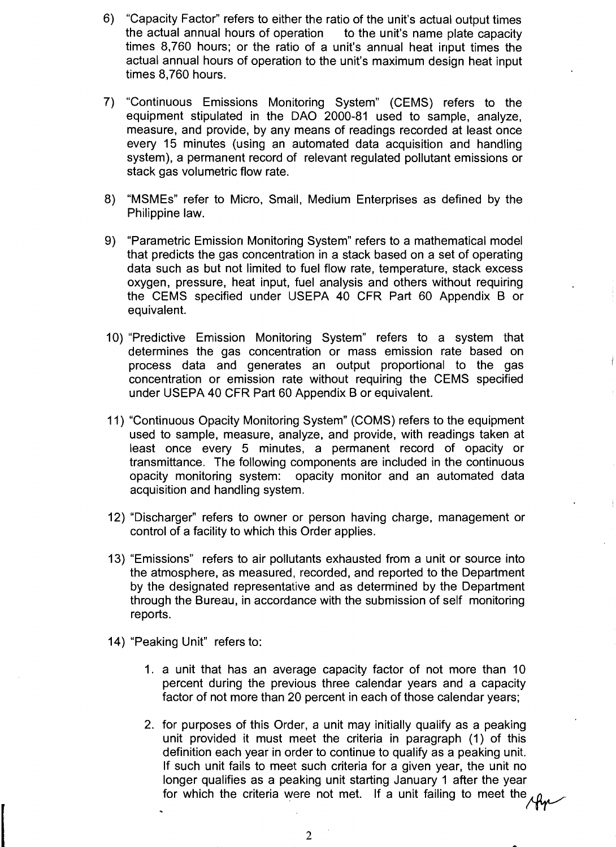- 6) "Capacity Factor" refers to either the ratio of the unit's actual output times the actual annual hours of operation to the unit's name plate capacity times 8,760 hours; or the ratio of a unit's annual heat input times the actual annual hours of operation to the unit's maximum design heat input times 8,760 hours.
- 7) "Continuous Emissions Monitoring System" (CEMS) refers to the equipment stipulated in the DAO 2000-81 used to sample, analyze, measure, and provide, by any means of readings recorded at least once every 15 minutes (using an automated data acquisition and handling system), a permanent record of relevant regulated pollutant emissions or stack gas volumetric flow rate.
- 8) "MSMEs" refer to Micro, Small, Medium Enterprises as defined by the Philippine law.
- 9) "Parametric Emission Monitoring System" refers to a mathematical model that predicts the gas concentration in a stack based on a set of operating data such as but not limited to fuel flow rate, temperature, stack excess oxygen, pressure, heat input, fuel analysis and others without requiring the CEMS specified under USEPA 40 CFR Part 60 Appendix B or equivalent.
- 10) "Predictive Emission Monitoring System" refers to a system that determines the gas concentration or mass emission rate based on process data and generates an output proportional to the gas concentration or emission rate without requiring the CEMS specified under USEPA 40 CFR Part 60 Appendix B or equivalent.
- 11) "Continuous Opacity Morritoring System" (COMS) refers to the equipment used to sample, measure, analyze, and provide, with readings taken at least once every 5 minutes, a permanent record of opacity or transmittance. The following components are included in the continuous opacity monitoring system: opacity monitor and an automated data acquisition and handling system.
- 12) "Discharger" refers to owner or person having charge, management or control of a facility to which this Order applies.
- 13) "Emissions" refers to air pollutants exhausted from a unit or source into the atmosphere, as measured, recorded, and reported to the Department by the designated representative and as determined by the Department through the Bureau, in accordance with the submission of self monitoring reports.
- 14) "Peaking Unit" refers to:

.

- 1. a unit that has an average capacity factor of not more than 10 percent during the previous three calendar years and a capacity factor of not more than 20 percent in each of those calendar years;
- 2. for purposes of this Order, a unit may initially qualify as a peaking unit provided it must meet the criteria in paragraph (1) of this definition each year in order to continue to qualify as a peaking unit. If such unit fails to meet such criteria for a given year, the unit no longer qualifies as a peaking unit starting January 1 after the year for which the criteria were not met. If a unit failing to meet the *year*<br>for which the criteria were not met. If a unit failing to meet the *year*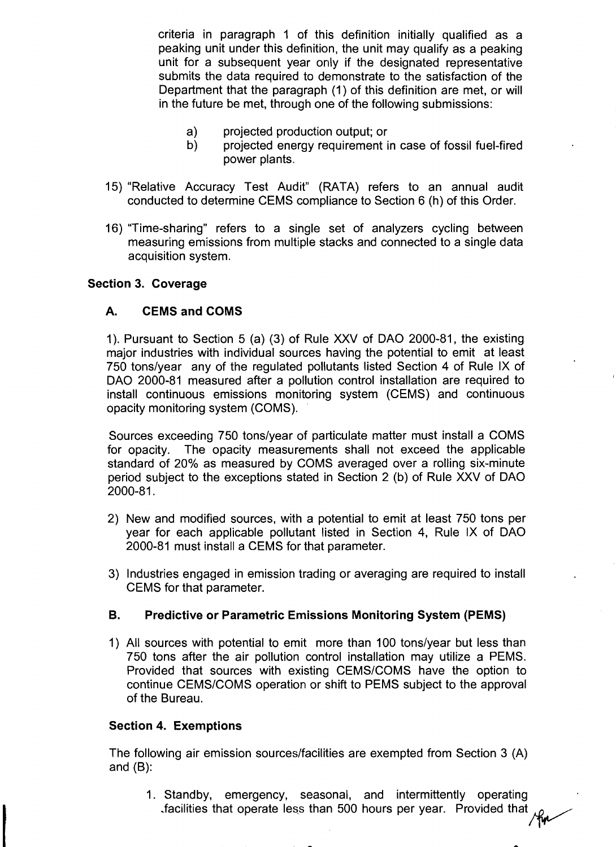criteria in paragraph 1 of this definition initially qualified as a peaking unit under this definition, the unit may qualify as a peaking unit for a subsequent year only if the designated representative submits the data required to demonstrate to the satisfaction of the Department that the paragraph (1) of this definition are met, or will in the future be met, through one of the following submissions:

- a) projected production output; or
- b) projected energy requirement in case of fossil fuel-fired power plants.
- 15) "Relative Accuracy Test Audit" (RATA) refers to an annual audit conducted to determine CEMS compliance to Section 6 (h) of this Order.
- 16) "Time-sharing" refers to a single set of analyzers cycling between measuring emissions from multiple stacks and connected to a single data acquisition system.

## **Section 3. Coverage**

# **A. CEMS and COMS**

1). Pursuant to Section 5 (a) (3) of Rule XXV of DAO 2000-81, the existing major industries with individual sources having the potential to emit at least 750 tons/year any of the regulated pollutants listed Section 4 of Rule IX of DAO 2000-81 measured after a pollution control installation are required to install continuous emissions monitoring system (CEMS) and continuous opacity monitoring system (COMS).

Sources exceeding 750 tons/year of particulate matter must install a COMS for opacity. The opacity measurements shall not exceed the applicable standard of 20% as measured by COMS averaged over a rolling six-minute period subject to the exceptions stated in Section 2 (b) of Rule XXV of DAO 2000-81.

- 2) New and modified sources, with a potential to emit at least 750 tons per year for each applicable pollutant listed in Section 4, Rule IX of DAO 2000-81 must install a CEMS for that parameter.
- 3) Industries engaged in emission trading or averaging are required to install CEMS for that parameter.

# **B. Predictive or Parametric Emissions Monitoring System (PEMS)**

1) All sources with potential to emit more than 100 tons/year but less than 750 tons after the air pollution control installation may utilize a PEMS. Provided that sources with existing CEMS/COMS have the option to continue CEMSICOMS operation or shift to PEMS subject to the approval of the Bureau.

### **Section 4. Exemptions**

The following air emission sources/facilities are exempted from Section 3 (A) and (B):

1. Standby, emergency, seasonal, and intermittently operating facilities that operate less than 500 hours per year. Provided that you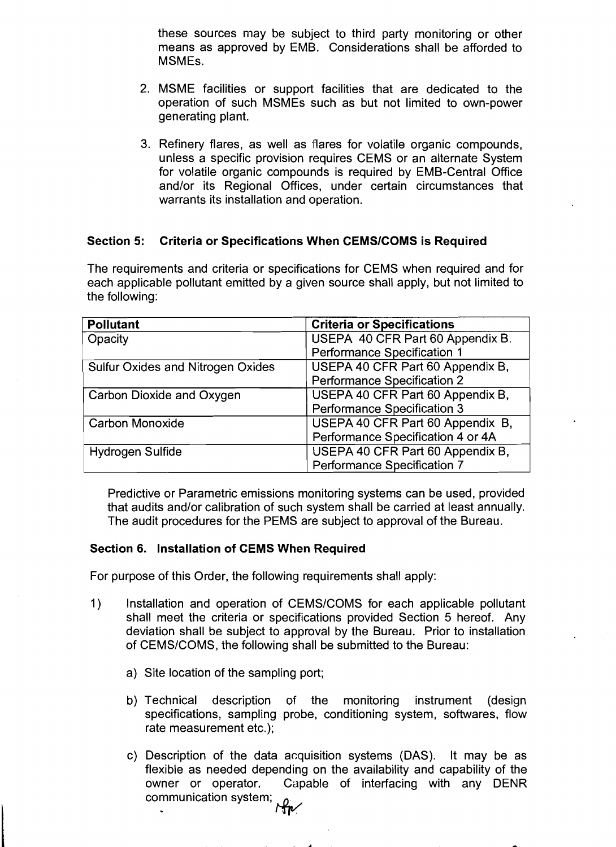these sources may be subject to third party monitoring or other means as approved by EMB. Considerations shall be afforded to MSMEs.

- 2. MSME facilities or support facilities that are dedicated to the operation of such MSMEs such as but not limited to own-power generating plant.
- 3. Refinery flares, as well as flares for volatile organic compounds, unless a specific provision requires CEMS or an alternate System for volatile organic compounds is required by EMB-Central Office and/or its Regional Offices, under certain circumstances that warrants its installation and operation.

### **Section 5: Criteria or Specifications When CEMSICOMS is Required**

The requirements and criteria or specifications for CEMS when required and for each applicable pollutant emitted by a given source shall apply, but not limited to the following:

| <b>Pollutant</b>                         | <b>Criteria or Specifications</b> |
|------------------------------------------|-----------------------------------|
| Opacity                                  | USEPA 40 CFR Part 60 Appendix B.  |
|                                          | Performance Specification 1       |
| <b>Sulfur Oxides and Nitrogen Oxides</b> | USEPA 40 CFR Part 60 Appendix B.  |
|                                          | Performance Specification 2       |
| Carbon Dioxide and Oxygen                | USEPA 40 CFR Part 60 Appendix B,  |
|                                          | Performance Specification 3       |
| <b>Carbon Monoxide</b>                   | USEPA 40 CFR Part 60 Appendix B,  |
|                                          | Performance Specification 4 or 4A |
| Hydrogen Sulfide                         | USEPA 40 CFR Part 60 Appendix B,  |
|                                          | Performance Specification 7       |

Predictive or Parametric emissions monitoring systems can be used, provided that audits and/or calibration of such system shall be carried at least annually. The audit procedures for the PEMS are subject to approval of the Bureau.

#### **Section 6. Installation of CEMS When Required**

For purpose of this Order, the following requirements shall apply:

- 1) Installation and operation of CEMS/COMS for each applicable pollutant shall meet the criteria or specifications provided Section 5 hereof. Any deviation shall be subject to approval by the Bureau. Prior to installation of CEMSICOMS, the following shall be submitted to the Bureau:
	- a) Site location of the sampling port;
	- b) Technical description of the monitoring instrument (design specifications, sampling probe, conditioning system, softwares, flow rate measurement etc.);
	- c) Description of the data acquisition systems (DAS). It may be as flexible as needed depending on the availability and capability of the owner or operator. Capable of interfacing with any DENR communication system; . w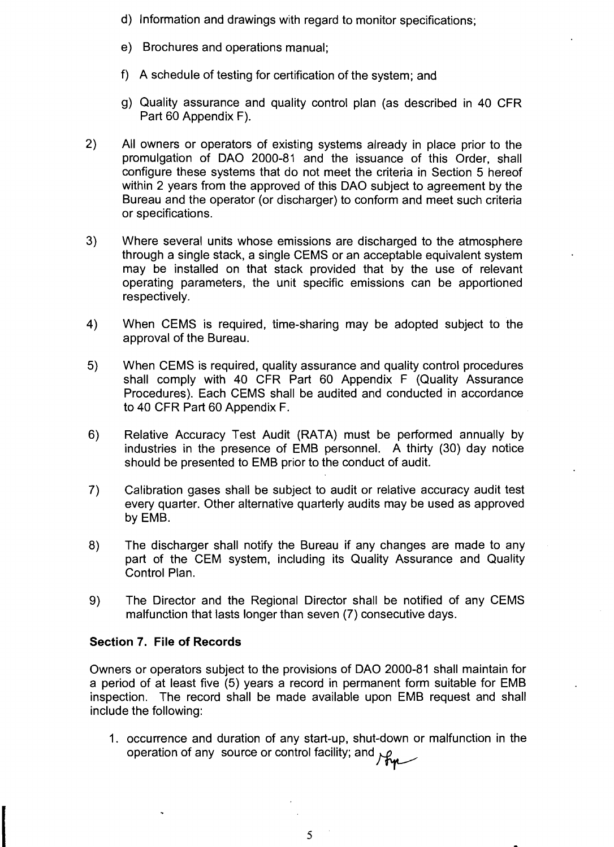- d) Information and drawings with regard to monitor specifications;
- e) Brochures and operations manual;
- f) A schedule of testing for certification of the system; and
- g) Quality assurance and quality control plan (as described in 40 CFR Part 60 Appendix F).
- 2) All owners or operators of existing systems already in place prior to the promulgation of DAO 2000-81 and the issuance of this Order, shall configure these systems that do not meet the criteria in Section 5 hereof within 2 years from the approved of this DAO subject to agreement by the Bureau and the operator (or discharger) to conform and meet such criteria or specifications.
- 3) Where several units whose emissions are discharged to the atmosphere through a single stack, a single CEMS or an acceptable equivalent system may be installed on that stack provided that by the use of relevant operating parameters, the unit specific emissions can be apportioned respectively.
- 4) When CEMS is required, time-sharing may be adopted subject to the approval of the Bureau.
- 5) When CEMS is required, quality assurance and quality control procedures shall comply with 40 CFR Part 60 Appendix F (Quality Assurance Procedures). Each CEMS shall be audited and conducted in accordance to 40 CFR Part 60 Appendix F.
- 6) Relative Accuracy Test Audit (RATA) must be performed annually by industries in the presence of EMB personnel. A thirty (30) day notice should be presented to EMB prior to the conduct of audit.
- 7) Calibration gases shall be subject to audit or relative accuracy audit test every quarter. Other alternative quarterly audits may be used as approved by EMB.
- 8) The discharger shall notify the Bureau if any changes are made to any part of the CEM system, including its Quality Assurance and Quality Control Plan.
- 9) The Director and the Regional Director shall be notified of any CEMS malfunction that lasts longer than seven (7) consecutive days.

# **Section 7. File of Records**

Owners or operators subject to the provisions of DAO 2000-81 shall maintain for a period of at least five (5) years a record in permanent form suitable for EMB inspection. The record shall be made available upon EMB request and shall include the following:

1. occurrence and duration of any start-up, shut-down or malfunction in the occurrence and database of control facility; and you